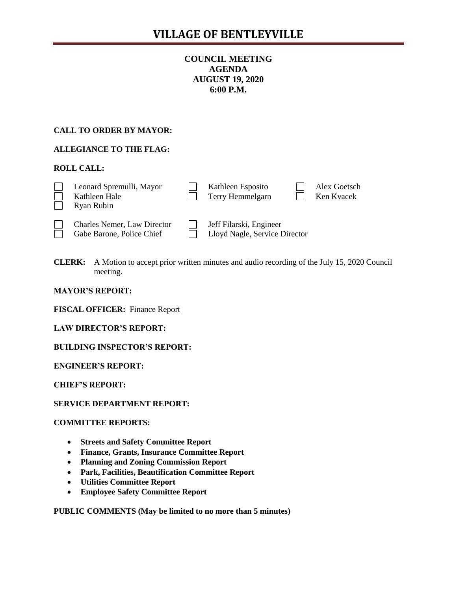# **COUNCIL MEETING AGENDA AUGUST 19, 2020 6:00 P.M.**

# **CALL TO ORDER BY MAYOR:**

# **ALLEGIANCE TO THE FLAG:**

# **ROLL CALL:**

|  | Leonard Spremulli, Mayor<br>Kathleen Hale<br>Ryan Rubin |  | Kathleen Esposito<br>Terry Hemmelgarn |  | Alex Goetsch<br>Ken Kvacek |
|--|---------------------------------------------------------|--|---------------------------------------|--|----------------------------|
|--|---------------------------------------------------------|--|---------------------------------------|--|----------------------------|

| $\Box$ | Charles Nemer, Law D.  |
|--------|------------------------|
| $\Box$ | Gabe Barone, Police Cl |

irector **Jeff Filarski**, Engineer hief **Chief Lloyd Nagle, Service Director** 

**CLERK:** A Motion to accept prior written minutes and audio recording of the July 15, 2020 Council meeting.

#### **MAYOR'S REPORT:**

**FISCAL OFFICER:** Finance Report

**LAW DIRECTOR'S REPORT:**

**BUILDING INSPECTOR'S REPORT:**

**ENGINEER'S REPORT:**

**CHIEF'S REPORT:**

### **SERVICE DEPARTMENT REPORT:**

### **COMMITTEE REPORTS:**

- **Streets and Safety Committee Report**
- **Finance, Grants, Insurance Committee Report**
- **Planning and Zoning Commission Report**
- **Park, Facilities, Beautification Committee Report**
- **Utilities Committee Report**
- **Employee Safety Committee Report**

**PUBLIC COMMENTS (May be limited to no more than 5 minutes)**